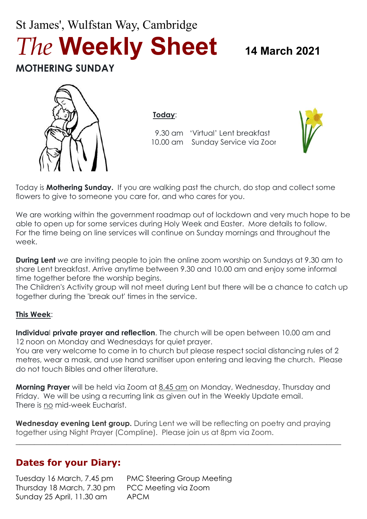# St James', Wulfstan Way, Cambridge *The* **Weekly Sheet <sup>14</sup> March <sup>2021</sup> MOTHERING SUNDAY**



**Today**:

9.30 am 'Virtual' Lent breakfast 10.00 am Sunday Service via Zoor



Today is **Mothering Sunday.** If you are walking past the church, do stop and collect some flowers to give to someone you care for, and who cares for you.

We are working within the government roadmap out of lockdown and very much hope to be able to open up for some services during Holy Week and Easter. More details to follow. For the time being on line services will continue on Sunday mornings and throughout the week.

**During Lent** *we* are inviting people to join the online zoom worship on Sundays at 9.30 am to share Lent breakfast. Arrive anytime between 9.30 and 10.00 am and enjoy some informal time together before the worship begins.

The Children's Activity group will not meet during Lent but there will be a chance to catch up together during the 'break out' times in the service.

#### **This Week**:

**Individua**l **private prayer and reflection**. The church will be open between 10.00 am and 12 noon on Monday and Wednesdays for quiet prayer.

You are very welcome to come in to church but please respect social distancing rules of 2 metres, wear a mask, and use hand sanitiser upon entering and leaving the church. Please do not touch Bibles and other literature.

**Morning Prayer** will be held via Zoom at 8.45 am on Monday, Wednesday, Thursday and Friday. We will be using a recurring link as given out in the Weekly Update email. There is no mid-week Eucharist.

**Wednesday evening Lent group.** During Lent we will be reflecting on poetry and praying together using Night Prayer (Compline). Please join us at 8pm via Zoom.

 $\_$  , and the set of the set of the set of the set of the set of the set of the set of the set of the set of the set of the set of the set of the set of the set of the set of the set of the set of the set of the set of th

# **Dates for your Diary:**

Tuesday 16 March, 7.45 pm PMC Steering Group Meeting Thursday 18 March, 7.30 pm PCC Meeting via Zoom Sunday 25 April, 11.30 am APCM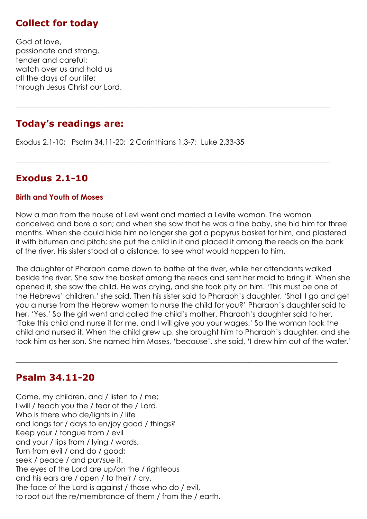# **Collect for today**

God of love, passionate and strong, tender and careful: watch over us and hold us all the days of our life; through Jesus Christ our Lord.

# **Today's readings are:**

Exodus 2.1-10; Psalm 34.11-20; 2 Corinthians 1.3-7; Luke 2.33-35

# **Exodus 2.1-10**

#### **Birth and Youth of Moses**

Now a man from the house of Levi went and married a Levite woman. The woman conceived and bore a son; and when she saw that he was a fine baby, she hid him for three months. When she could hide him no longer she got a papyrus basket for him, and plastered it with bitumen and pitch; she put the child in it and placed it among the reeds on the bank of the river. His sister stood at a distance, to see what would happen to him.

**\_\_\_\_\_\_\_\_\_\_\_\_\_\_\_\_\_\_\_\_\_\_\_\_\_\_\_\_\_\_\_\_\_\_\_\_\_\_\_\_\_\_\_\_\_\_\_\_\_\_\_\_\_\_\_\_\_\_\_\_\_\_\_\_\_\_\_\_\_\_\_\_\_\_\_\_\_\_\_\_\_\_\_\_\_**

 $\_$  , and the set of the set of the set of the set of the set of the set of the set of the set of the set of the set of the set of the set of the set of the set of the set of the set of the set of the set of the set of th

The daughter of Pharaoh came down to bathe at the river, while her attendants walked beside the river. She saw the basket among the reeds and sent her maid to bring it. When she opened it, she saw the child. He was crying, and she took pity on him. 'This must be one of the Hebrews' children,' she said. Then his sister said to Pharaoh's daughter, 'Shall I go and get you a nurse from the Hebrew women to nurse the child for you?' Pharaoh's daughter said to her, 'Yes.' So the girl went and called the child's mother. Pharaoh's daughter said to her, 'Take this child and nurse it for me, and I will give you your wages.' So the woman took the child and nursed it. When the child grew up, she brought him to Pharaoh's daughter, and she took him as her son. She named him Moses, 'because', she said, 'I drew him out of the water.'

 $\_$  , and the set of the set of the set of the set of the set of the set of the set of the set of the set of the set of the set of the set of the set of the set of the set of the set of the set of the set of the set of th

### **Psalm 34.11-20**

Come, my children, and / listen to / me; I will / teach you the / fear of the / Lord. Who is there who de/lights in / life and longs for / days to en/joy good / things? Keep your / tongue from / evil and your / lips from / lying / words. Turn from evil / and do / good; seek / peace / and pur/sue it. The eyes of the Lord are up/on the / righteous and his ears are / open / to their / cry. The face of the Lord is against / those who do / evil, to root out the re/membrance of them / from the / earth.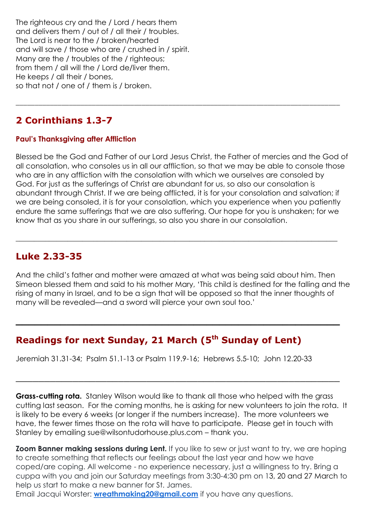The righteous cry and the / Lord / hears them and delivers them / out of / all their / troubles. The Lord is near to the / broken/hearted and will save / those who are / crushed in / spirit. Many are the / troubles of the / righteous; from them / all will the / Lord de/liver them. He keeps / all their / bones, so that not / one of / them is / broken.

# **2 Corinthians 1.3-7**

#### **Paul's Thanksgiving after Affliction**

Blessed be the God and Father of our Lord Jesus Christ, the Father of mercies and the God of all consolation, who consoles us in all our affliction, so that we may be able to console those who are in any affliction with the consolation with which we ourselves are consoled by God. For just as the sufferings of Christ are abundant for us, so also our consolation is abundant through Christ. If we are being afflicted, it is for your consolation and salvation; if we are being consoled, it is for your consolation, which you experience when you patiently endure the same sufferings that we are also suffering. Our hope for you is unshaken; for we know that as you share in our sufferings, so also you share in our consolation.

 $\_$  , and the set of the set of the set of the set of the set of the set of the set of the set of the set of the set of the set of the set of the set of the set of the set of the set of the set of the set of the set of th

\_\_\_\_\_\_\_\_\_\_\_\_\_\_\_\_\_\_\_\_\_\_\_\_\_\_\_\_\_\_\_\_\_\_\_\_\_\_\_\_\_\_\_\_\_\_\_\_\_\_\_\_\_\_\_\_\_\_\_\_\_\_\_\_\_\_\_\_\_\_\_\_\_\_\_\_\_\_\_\_\_\_\_\_\_

# **Luke 2.33-35**

And the child's father and mother were amazed at what was being said about him. Then Simeon blessed them and said to his mother Mary, 'This child is destined for the falling and the rising of many in Israel, and to be a sign that will be opposed so that the inner thoughts of many will be revealed—and a sword will pierce your own soul too.'

**\_\_\_\_\_\_\_\_\_\_\_\_\_\_\_\_\_\_\_\_\_\_\_\_\_\_\_\_\_\_\_\_\_\_\_\_\_\_\_\_\_\_\_\_\_\_\_\_\_\_\_**

\_\_\_\_\_\_\_\_\_\_\_\_\_\_\_\_\_\_\_\_\_\_\_\_\_\_\_\_\_\_\_\_\_\_\_\_\_\_\_\_\_\_\_\_\_\_\_\_\_\_\_\_\_\_\_\_\_

# **Readings for next Sunday, 21 March (5 th Sunday of Lent)**

Jeremiah 31.31-34; Psalm 51.1-13 or Psalm 119.9-16; Hebrews 5.5-10; John 12.20-33

**Grass-cutting rota.** Stanley Wilson would like to thank all those who helped with the grass cutting last season. For the coming months, he is asking for new volunteers to join the rota. It is likely to be every 6 weeks (or longer if the numbers increase). The more volunteers we have, the fewer times those on the rota will have to participate. Please get in touch with Stanley by emailing sue@wilsontudorhouse.plus.com – thank you.

**Zoom Banner making sessions during Lent.** If you like to sew or just want to try, we are hoping to create something that reflects our feelings about the last year and how we have coped/are coping. All welcome - no experience necessary, just a willingness to try. Bring a cuppa with you and join our Saturday meetings from 3:30-4:30 pm on 13, 20 and 27 March to help us start to make a new banner for St. James.

Email Jacqui Worster: **[wreathmaking20@gmail.com](mailto:wreathmaking20@gmail.com)** if you have any questions.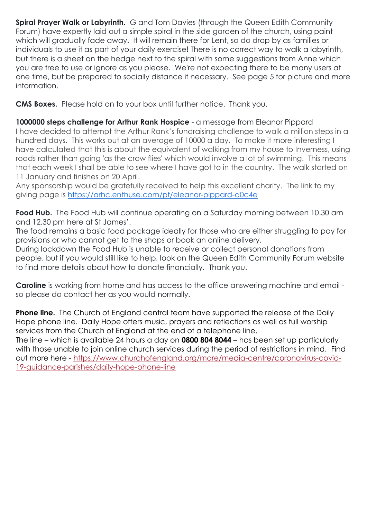**Spiral Prayer Walk or Labyrinth.** G and Tom Davies (through the Queen Edith Community Forum) have expertly laid out a simple spiral in the side garden of the church, using paint which will gradually fade away. It will remain there for Lent, so do drop by as families or individuals to use it as part of your daily exercise! There is no correct way to walk a labyrinth, but there is a sheet on the hedge next to the spiral with some suggestions from Anne which you are free to use or ignore as you please. We're not expecting there to be many users at one time, but be prepared to socially distance if necessary. See page 5 for picture and more information.

**CMS Boxes.** Please hold on to your box until further notice. Thank you.

**1000000 steps challenge for Arthur Rank Hospice** - a message from Eleanor Pippard I have decided to attempt the Arthur Rank's fundraising challenge to walk a million steps in a hundred days. This works out at an average of 10000 a day. To make it more interesting I have calculated that this is about the equivalent of walking from my house to Inverness, using roads rather than going 'as the crow flies' which would involve a lot of swimming. This means that each week I shall be able to see where I have got to in the country. The walk started on

11 January and finishes on 20 April.

Any sponsorship would be gratefully received to help this excellent charity. The link to my giving page is <https://arhc.enthuse.com/pf/eleanor-pippard-d0c4e>

**Food Hub.** The Food Hub will continue operating on a Saturday morning between 10.30 am and 12.30 pm here at St James'.

The food remains a basic food package ideally for those who are either struggling to pay for provisions or who cannot get to the shops or book an online delivery.

During lockdown the Food Hub is unable to receive or collect personal donations from people, but if you would still like to help, look on the Queen Edith Community Forum website to find more details about how to donate financially. Thank you.

**Caroline** is working from home and has access to the office answering machine and email so please do contact her as you would normally.

**Phone line.** The Church of England central team have supported the release of the Daily Hope phone line. Daily Hope offers music, prayers and reflections as well as full worship services from the Church of England at the end of a telephone line.

The line – which is available 24 hours a day on **0800 804 8044** – has been set up particularly with those unable to join online church services during the period of restrictions in mind. Find out more here - [https://www.churchofengland.org/more/media-centre/coronavirus-covid-](https://www.churchofengland.org/more/media-centre/coronavirus-covid-19-guidance-parishes/daily-hope-phone-line)[19-guidance-parishes/daily-hope-phone-line](https://www.churchofengland.org/more/media-centre/coronavirus-covid-19-guidance-parishes/daily-hope-phone-line)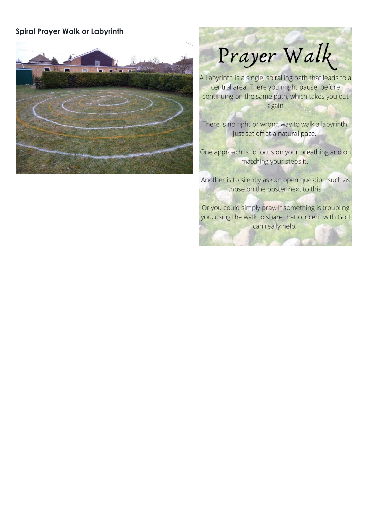#### **Spiral Prayer Walk or Labyrinth**



Prayer Walk

A Labyrinth is a single, spiralling path that leads to a central area. There you might pause, before continuing on the same path, which takes you out again

There is no right or wrong way to walk a labyrinth. Just set off at a natural pace.

One approach is to focus on your breathing and on matching your steps it.

Another is to silently ask an open question such as those on the poster next to this.

Or you could simply pray. If something is troubling you, using the walk to share that concern with God

can really help.